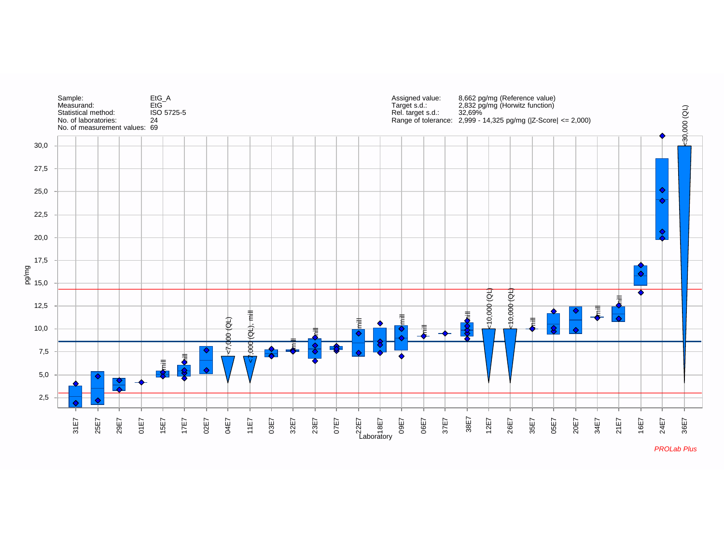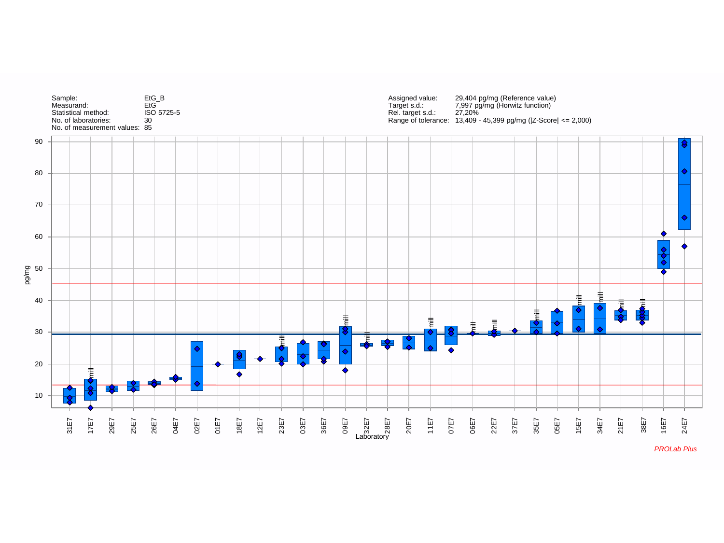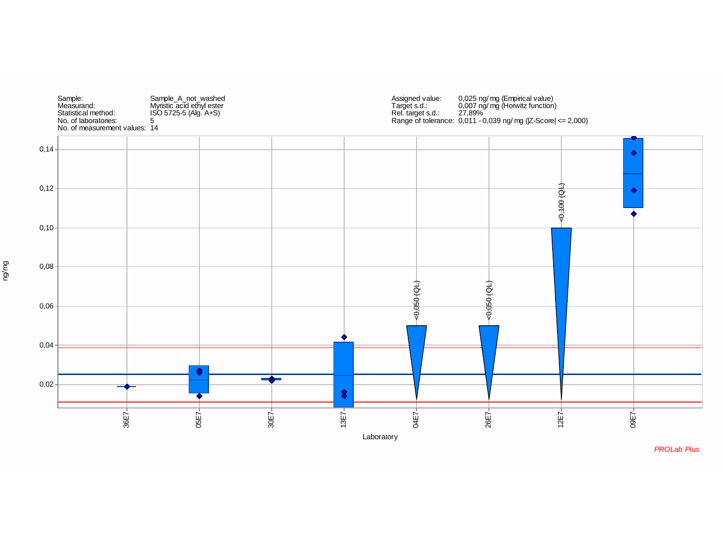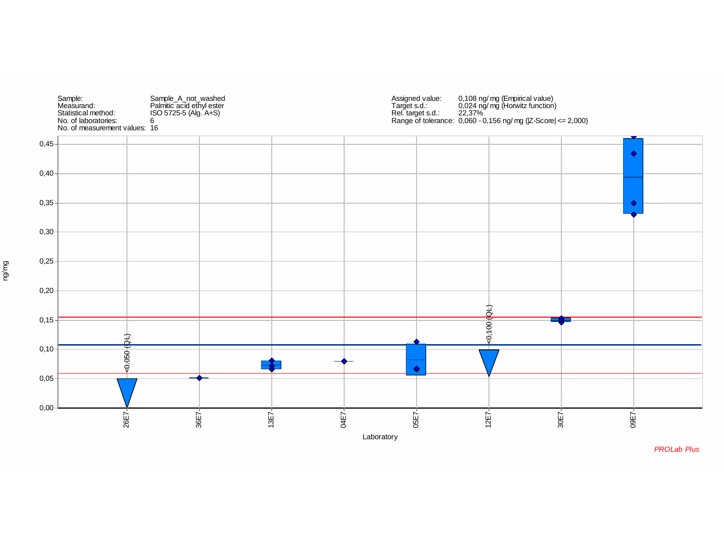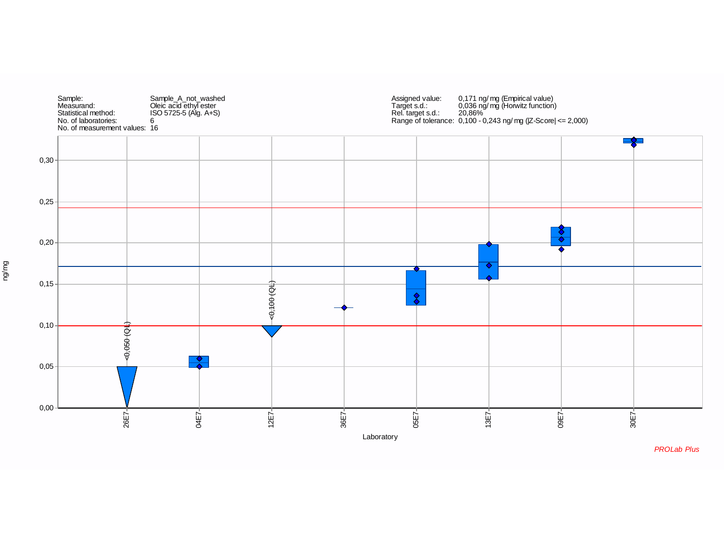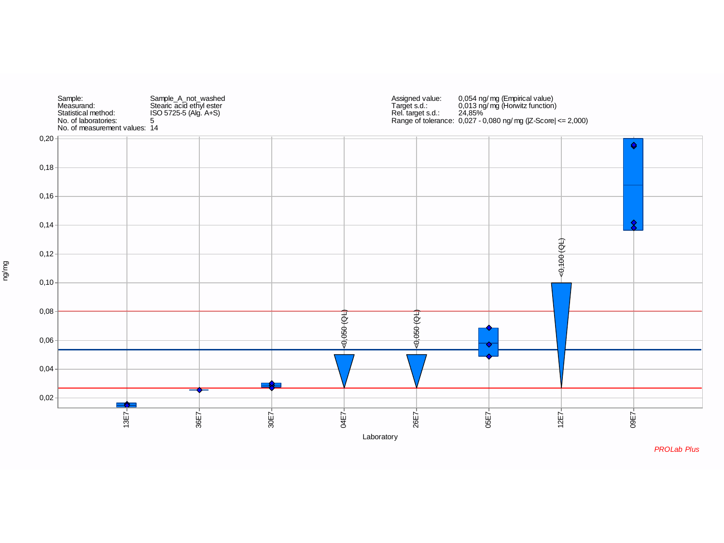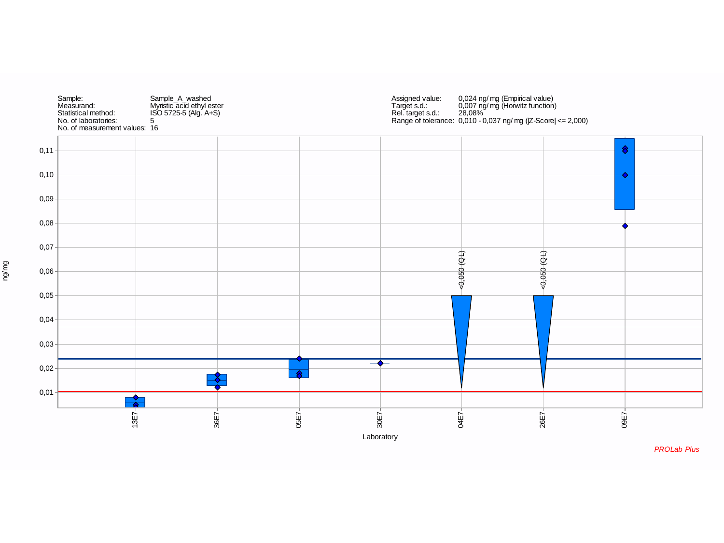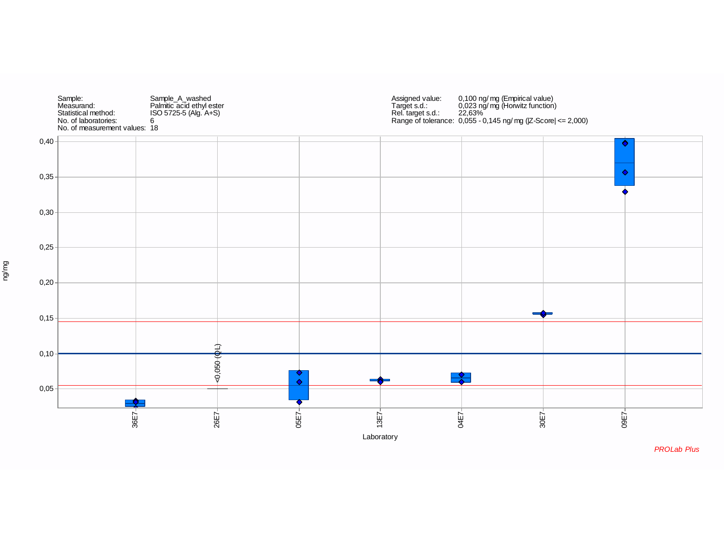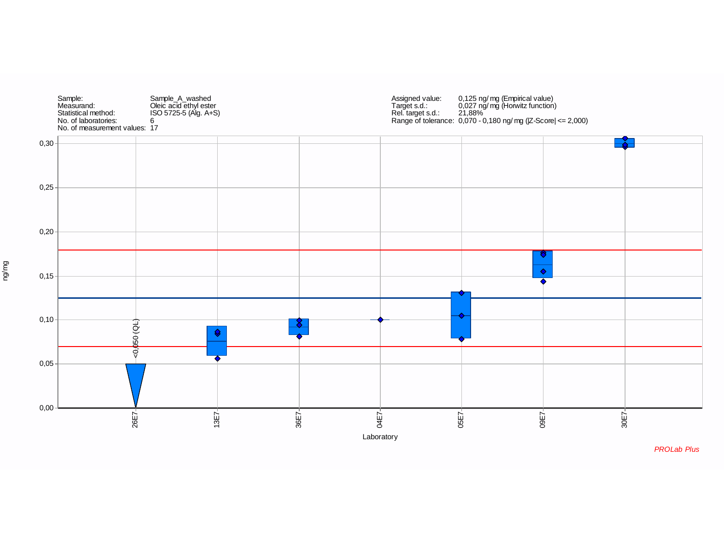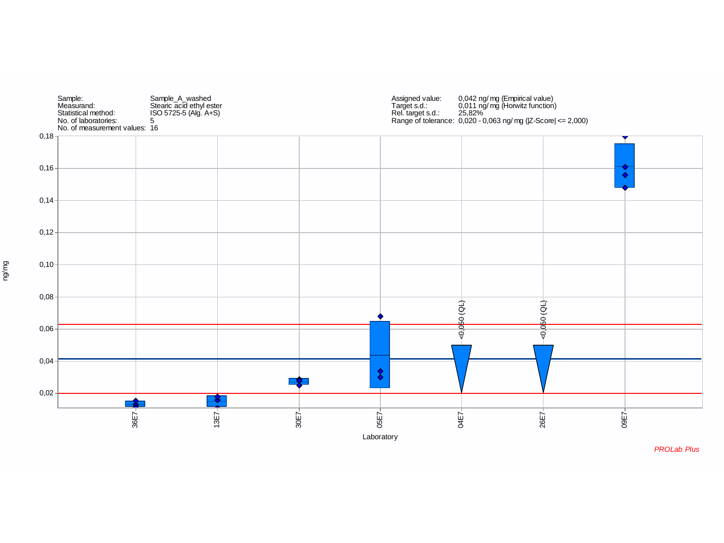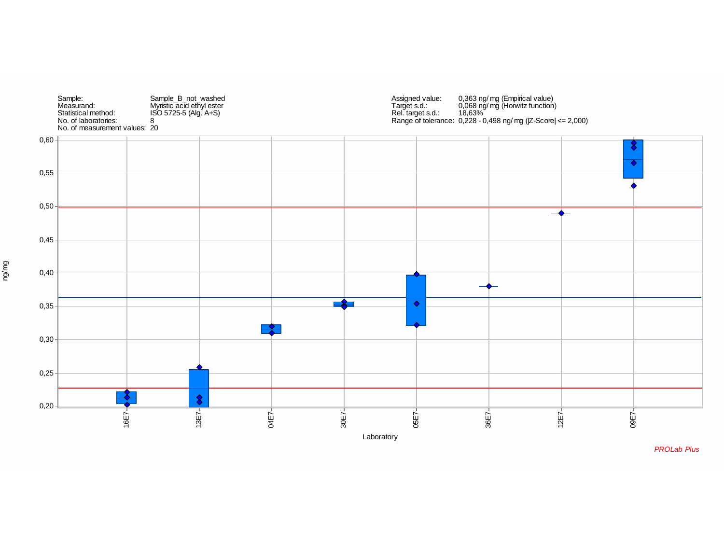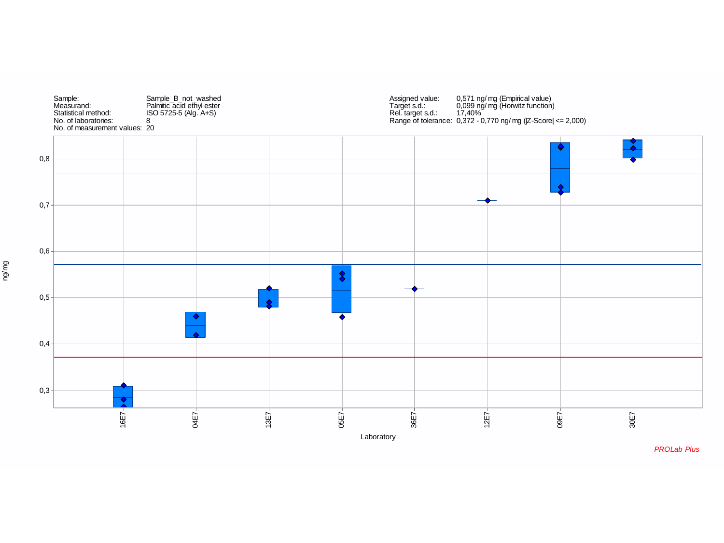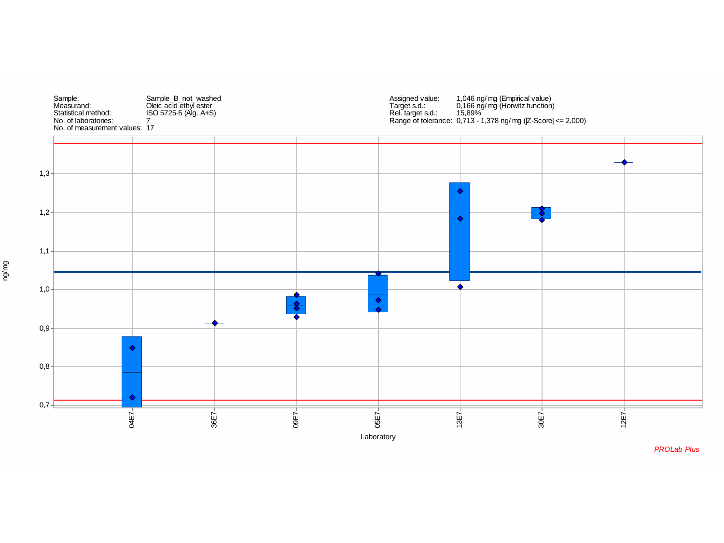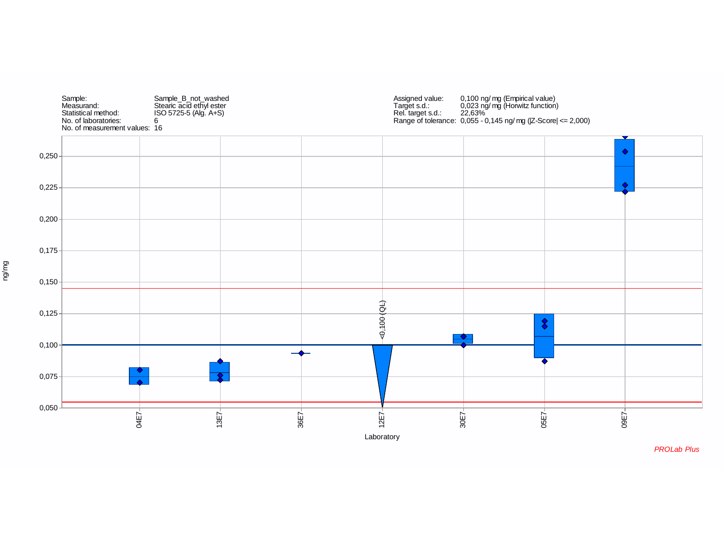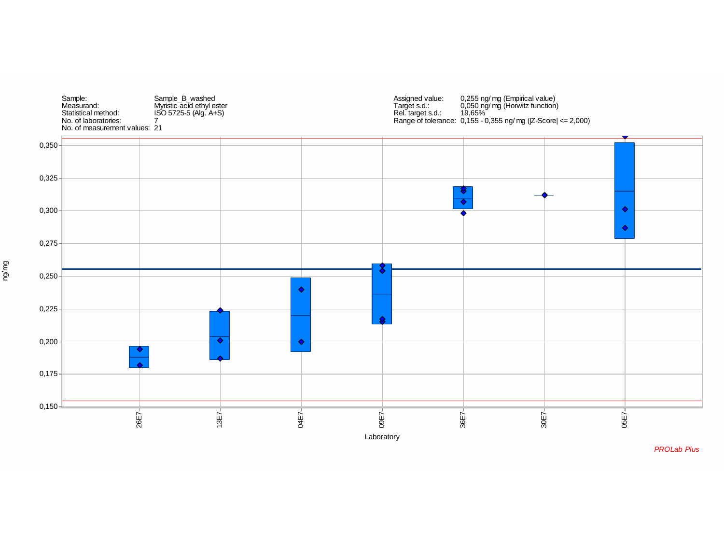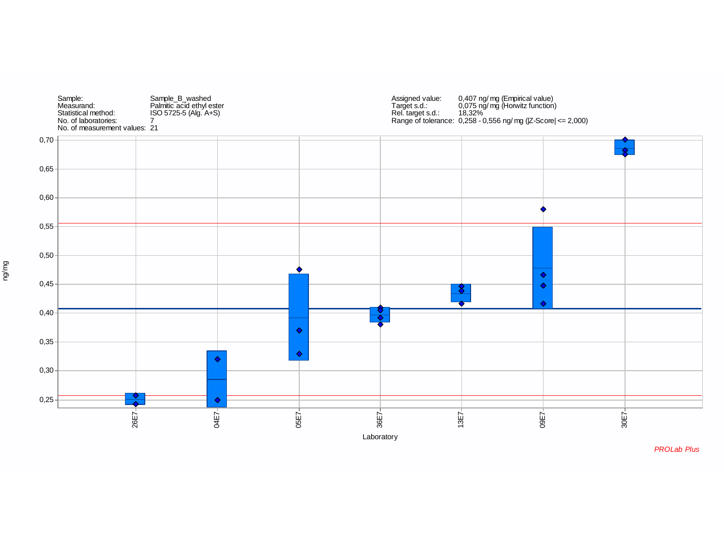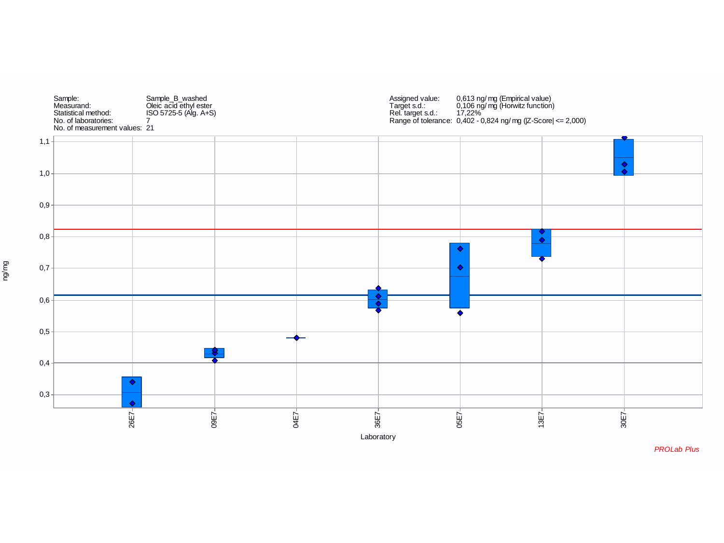